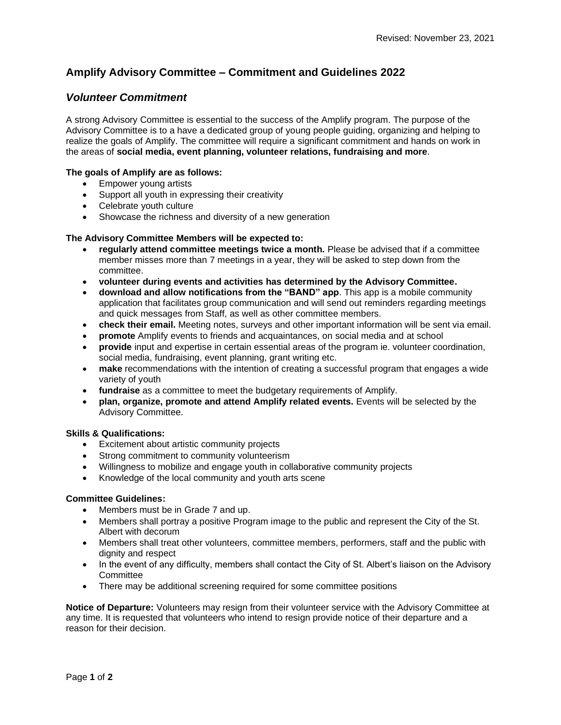# **Amplify Advisory Committee – Commitment and Guidelines 2022**

# *Volunteer Commitment*

A strong Advisory Committee is essential to the success of the Amplify program. The purpose of the Advisory Committee is to a have a dedicated group of young people guiding, organizing and helping to realize the goals of Amplify. The committee will require a significant commitment and hands on work in the areas of **social media, event planning, volunteer relations, fundraising and more**.

### **The goals of Amplify are as follows:**

- Empower young artists
- Support all youth in expressing their creativity
- Celebrate youth culture
- Showcase the richness and diversity of a new generation

#### **The Advisory Committee Members will be expected to:**

- **regularly attend committee meetings twice a month.** Please be advised that if a committee member misses more than 7 meetings in a year, they will be asked to step down from the committee.
- **volunteer during events and activities has determined by the Advisory Committee.**
- **download and allow notifications from the "BAND" app**. This app is a mobile community application that facilitates group communication and will send out reminders regarding meetings and quick messages from Staff, as well as other committee members.
- **check their email.** Meeting notes, surveys and other important information will be sent via email.
- **promote** Amplify events to friends and acquaintances, on social media and at school
- **provide** input and expertise in certain essential areas of the program ie. volunteer coordination, social media, fundraising, event planning, grant writing etc.
- **make** recommendations with the intention of creating a successful program that engages a wide variety of youth
- **fundraise** as a committee to meet the budgetary requirements of Amplify.
- **plan, organize, promote and attend Amplify related events.** Events will be selected by the Advisory Committee.

### **Skills & Qualifications:**

- Excitement about artistic community projects
- Strong commitment to community volunteerism
- Willingness to mobilize and engage youth in collaborative community projects
- Knowledge of the local community and youth arts scene

#### **Committee Guidelines:**

- Members must be in Grade 7 and up.
- Members shall portray a positive Program image to the public and represent the City of the St. Albert with decorum
- Members shall treat other volunteers, committee members, performers, staff and the public with dignity and respect
- In the event of any difficulty, members shall contact the City of St. Albert's liaison on the Advisory **Committee**
- There may be additional screening required for some committee positions

**Notice of Departure:** Volunteers may resign from their volunteer service with the Advisory Committee at any time. It is requested that volunteers who intend to resign provide notice of their departure and a reason for their decision.